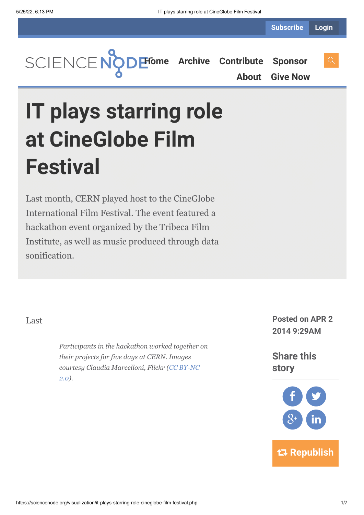**Subscribe Login**

**[Home](https://sciencenode.org/) [Archive](https://sciencenode.org/archive/index.php) [Contribute](https://sciencenode.org/contribute/index.php) [Sponsor](https://sciencenode.org/sponsor/index.php)**

**[About](https://sciencenode.org/about/index.php) [Give Now](https://sciencenode.org/donate/index.php)**

**IT plays starring role at CineGlobe Film Festival**

Last month, CERN played host to the CineGlobe International Film Festival. The event featured a hackathon event organized by the Tribeca Film Institute, as well as music produced through data sonification.

*Participants in the hackathon worked together on their projects for five days at CERN. Images [courtesy Claudia Marcelloni, Flickr \(CC BY-NC](https://creativecommons.org/licenses/by-nc/2.0/) 2.0).*

Last **Posted on APR 2 2014 9:29AM**

> **Share this story**



 **Republish**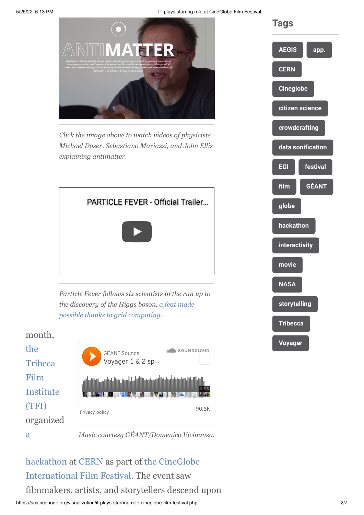5/25/22, 6:13 PM **IT plays starring role at CineGlobe Film Festival** 



*Click the image above to watch videos of physicists Michael Doser, Sebastiano Mariazzi, and John Ellis explaining antimatter.*



*Particle Fever follows six scientists in the run up to [the discovery of the Higgs boson, a feat made](http://www.isgtw.org/visualization/nobel-prize-physics-role-grid) possible thanks to grid computing.*





*Music courtesy GÉANT/Domenico Vicinanza.*

[hackathon](https://tribecafilminstitute.org/events/detail/tribeca_hacks_story_matter) [at C](http://cineglobe.ch/)[ER](http://www.cern.ch/)[N as part of the CineGlobe](http://cineglobe.ch/) International Film Festival. The event saw filmmakers, artists, and storytellers descend upon

![](_page_1_Figure_10.jpeg)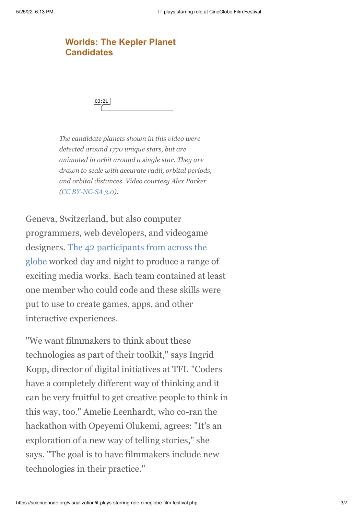## **[Worlds: The Kepler Planet](https://vimeo.com/47408739?embedded=true&source=video_title&owner=7131424) Candidates**

03:21

*The candidate planets shown in this video were detected around 1770 unique stars, but are animated in orbit around a single star. They are drawn to scale with accurate radii, orbital periods, and orbital distances. Video courtesy Alex Parker ([CC BY-NC-SA 3.0\)](http://creativecommons.org/licenses/by-nc-sa/3.0/).*

Geneva, Switzerland, but also computer programmers, web developers, and videogame [designers. The 42 participants from across the](https://tribecafilminstitute.org/blog/detail/meet_our_tribeca_hacks_story_matter_participants) globe worked day and night to produce a range of exciting media works. Each team contained at least one member who could code and these skills were put to use to create games, apps, and other interactive experiences.

"We want filmmakers to think about these technologies as part of their toolkit," says Ingrid Kopp, director of digital initiatives at TFI. "Coders have a completely different way of thinking and it can be very fruitful to get creative people to think in this way, too." Amelie Leenhardt, who co-ran the hackathon with Opeyemi Olukemi, agrees: "It's an exploration of a new way of telling stories," she says. "The goal is to have filmmakers include new technologies in their practice."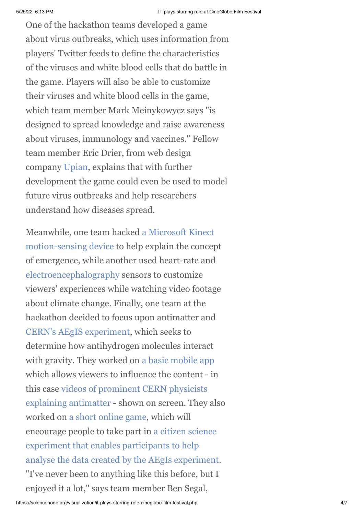One of the hackathon teams developed a game about virus outbreaks, which uses information from players' Twitter feeds to define the characteristics of the viruses and white blood cells that do battle in the game. Players will also be able to customize their viruses and white blood cells in the game, which team member Mark Meinykowycz says "is designed to spread knowledge and raise awareness about viruses, immunology and vaccines." Fellow team member Eric Drier, from web design company [Upian,](http://fr.wikipedia.org/wiki/Upian) explains that with further development the game could even be used to model future virus outbreaks and help researchers understand how diseases spread.

[Meanwhile, one team hacked a Microsoft Kinect](http://en.wikipedia.org/wiki/Kinect) motion-sensing device to help explain the concept of emergence, while another used heart-rate and [electroencephalography](http://en.wikipedia.org/wiki/Electroencephalography) sensors to customize viewers' experiences while watching video footage about climate change. Finally, one team at the hackathon decided to focus upon antimatter and [CERN's AEgIS experiment](http://aegis.web.cern.ch/aegis/), which seeks to determine how antihydrogen molecules interact with gravity. They worked on [a basic mobile app](http://antimatter.meteor.com/mobile) which allows viewers to influence the content - in [this case videos of prominent CERN physicists](http://antimatter.meteor.com/whatismatter) explaining antimatter - shown on screen. They also worked on [a short online game,](http://antimatter.meteor.com/game) which will encourage people to take part in a citizen science experiment that enables participants to help [analyse the data created by the AEgIs experiment](http://home.web.cern.ch/about/updates/2013/08/join-dots-measure-antimatter). "I've never been to anything like this before, but I enjoyed it a lot," says team member Ben Segal,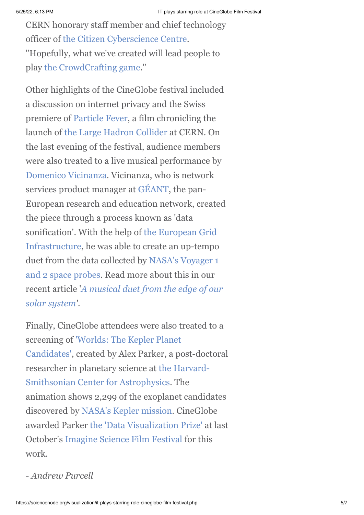CERN honorary staff member and chief technology officer of [the Citizen Cyberscience Centre.](http://www.citizencyberscience.net/) "Hopefully, what we've created will lead people to play [the CrowdCrafting game.](http://crowdcrafting.org/app/antimatter/)"

Other highlights of the CineGlobe festival included a discussion on internet privacy and the Swiss premiere of [Particle Fever,](http://particlefever.com/) a film chronicling the launch of [the Large Hadron Collider](http://home.web.cern.ch/topics/large-hadron-collider) at CERN. On the last evening of the festival, audience members were also treated to a live musical performance by [Domenico Vicinanza](http://www.isgtw.org/advanced-search/results/domenico%20vicinanza). Vicinanza, who is network services product manager at [GÉANT,](http://www.geant.net/Pages/default.aspx) the pan-European research and education network, created the piece through a process known as 'data sonification'. With the help of the European Grid [Infrastructure, he was able to create an up-tempo](http://www.egi.eu/) [duet from the data collected by NASA's Voyager 1](http://voyager.jpl.nasa.gov/) and 2 space probes. Read more about this in our recent article '*[A musical duet from the edge of our](http://isgtw.org/spotlight/musical-duet-edge-our-solar-system) solar system'*.

Finally, CineGlobe attendees were also treated to a screening of 'Worlds: The Kepler Planet [Candidates', created by Alex Parker, a po](http://vimeo.com/47408739)st-doctoral [researcher in planetary science at the Harvard-](http://www.cfa.harvard.edu/)Smithsonian Center for Astrophysics. The animation shows 2,299 of the exoplanet candidates discovered by [NASA's Kepler mission](http://kepler.nasa.gov/). CineGlobe awarded Parker [the 'Data Visualization Prize'](http://cineglobe.ch/blog/2013/10/20/cineglobe-data-visualization-award-goes-to-worlds-by-director-alex-parker/) at last October's [Imagine Science Film Festival](http://www.imaginesciencefilms.org/festival-2013/2013-showtimes/) for this work.

*- Andrew Purcell*